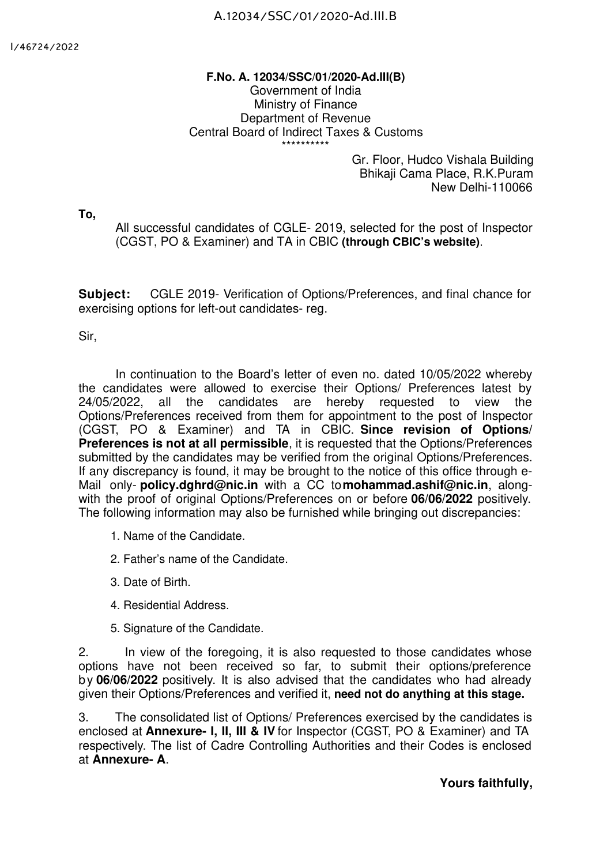## **F.No. A. 12034/SSC/01/2020-Ad.III(B)** Government of India Ministry of Finance Department of Revenue Central Board of Indirect Taxes & Customs \*\*\*\*\*\*\*\*\*\*

Gr. Floor, Hudco Vishala Building Bhikaji Cama Place, R.K.Puram New Delhi-110066

**To,**

All successful candidates of CGLE- 2019, selected for the post of Inspector (CGST, PO & Examiner) and TA in CBIC **(through CBIC's website)**.

**Subject:** CGLE 2019- Verification of Options/Preferences, and final chance for exercising options for left-out candidates- reg.

Sir,

In continuation to the Board's letter of even no. dated 10/05/2022 whereby the candidates were allowed to exercise their Options/ Preferences latest by 24/05/2022, all the candidates are hereby requested to view the Options/Preferences received from them for appointment to the post of Inspector (CGST, PO & Examiner) and TA in CBIC. **Since revision of Options/ Preferences is not at all permissible**, it is requested that the Options/Preferences submitted by the candidates may be verified from the original Options/Preferences. If any discrepancy is found, it may be brought to the notice of this office through e-Mail only- **policy.dghrd@nic.in** with a CC to**mohammad.ashif@nic.in**, alongwith the proof of original Options/Preferences on or before **06/06/2022** positively. The following information may also be furnished while bringing out discrepancies:

- 1. Name of the Candidate.
- 2. Father's name of the Candidate.
- 3. Date of Birth.
- 4. Residential Address.
- 5. Signature of the Candidate.

2. In view of the foregoing, it is also requested to those candidates whose options have not been received so far, to submit their options/preference by **06/06/2022** positively. It is also advised that the candidates who had already given their Options/Preferences and verified it, **need not do anything at this stage.**

3. The consolidated list of Options/ Preferences exercised by the candidates is enclosed at **Annexure- I, II, III & IV** for Inspector (CGST, PO & Examiner) and TA respectively. The list of Cadre Controlling Authorities and their Codes is enclosed at **Annexure- A**.

**Yours faithfully,**